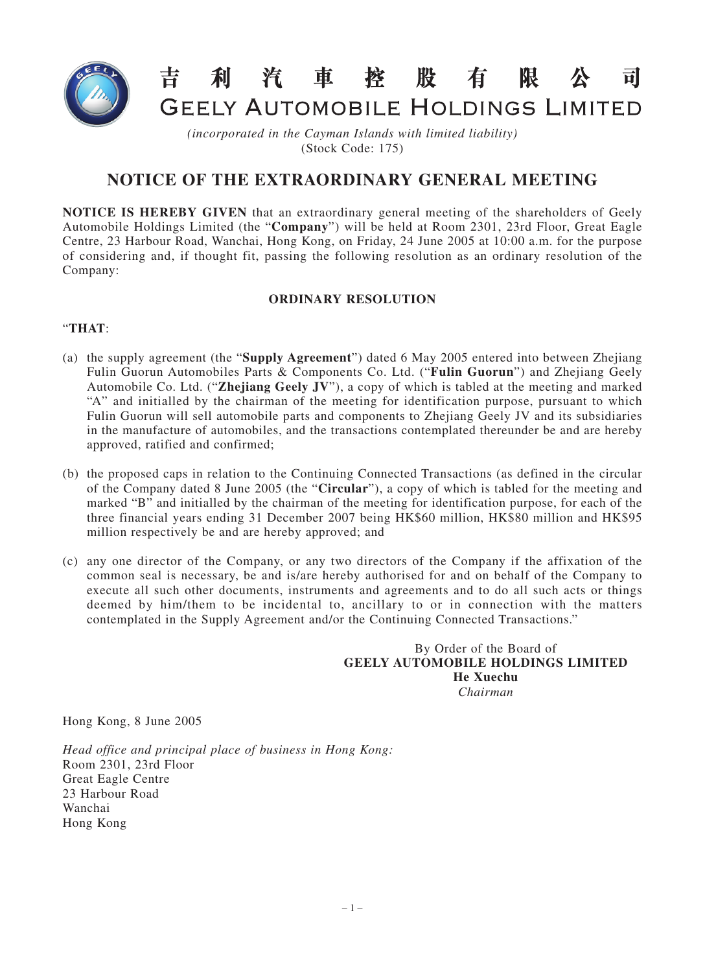

GEELY AUTOMOBILE HOLDINGS LIMITED

有

限

 $\overrightarrow{\mathbf{n}}$ 

*(incorporated in the Cayman Islands with limited liability)* (Stock Code: 175)

利汽車控股

## **NOTICE OF THE EXTRAORDINARY GENERAL MEETING**

**NOTICE IS HEREBY GIVEN** that an extraordinary general meeting of the shareholders of Geely Automobile Holdings Limited (the "**Company**") will be held at Room 2301, 23rd Floor, Great Eagle Centre, 23 Harbour Road, Wanchai, Hong Kong, on Friday, 24 June 2005 at 10:00 a.m. for the purpose of considering and, if thought fit, passing the following resolution as an ordinary resolution of the Company:

## **ORDINARY RESOLUTION**

## "**THAT**:

- (a) the supply agreement (the "**Supply Agreement**") dated 6 May 2005 entered into between Zhejiang Fulin Guorun Automobiles Parts & Components Co. Ltd. ("**Fulin Guorun**") and Zhejiang Geely Automobile Co. Ltd. ("**Zhejiang Geely JV**"), a copy of which is tabled at the meeting and marked "A" and initialled by the chairman of the meeting for identification purpose, pursuant to which Fulin Guorun will sell automobile parts and components to Zhejiang Geely JV and its subsidiaries in the manufacture of automobiles, and the transactions contemplated thereunder be and are hereby approved, ratified and confirmed;
- (b) the proposed caps in relation to the Continuing Connected Transactions (as defined in the circular of the Company dated 8 June 2005 (the "**Circular**"), a copy of which is tabled for the meeting and marked "B" and initialled by the chairman of the meeting for identification purpose, for each of the three financial years ending 31 December 2007 being HK\$60 million, HK\$80 million and HK\$95 million respectively be and are hereby approved; and
- (c) any one director of the Company, or any two directors of the Company if the affixation of the common seal is necessary, be and is/are hereby authorised for and on behalf of the Company to execute all such other documents, instruments and agreements and to do all such acts or things deemed by him/them to be incidental to, ancillary to or in connection with the matters contemplated in the Supply Agreement and/or the Continuing Connected Transactions."

By Order of the Board of **GEELY AUTOMOBILE HOLDINGS LIMITED He Xuechu** *Chairman*

Hong Kong, 8 June 2005

*Head office and principal place of business in Hong Kong:* Room 2301, 23rd Floor Great Eagle Centre 23 Harbour Road Wanchai Hong Kong